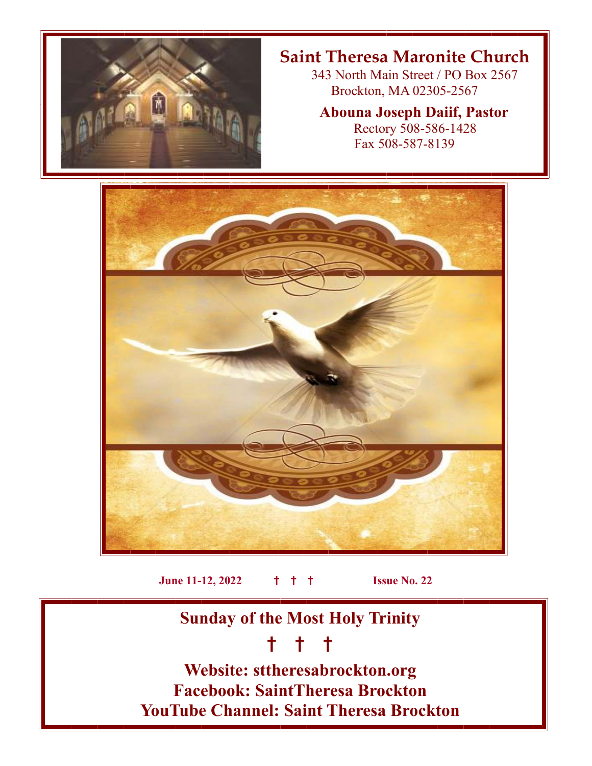

# **Saint Theresa Maronite Church**

 343 North Main Street / PO Box 2567 Brockton, MA 02305-2567

### **Abouna Joseph Daiif, Pastor**

 Rectory 508-586-1428 Fax 508-587-8139



**June 11-12, 2022 † † † Issue No. 22**

**Sunday of the Most Holy Trinity** 

# **† † †**

**Website: sttheresabrockton.org Facebook: SaintTheresa Brockton YouTube Channel: Saint Theresa Brockton**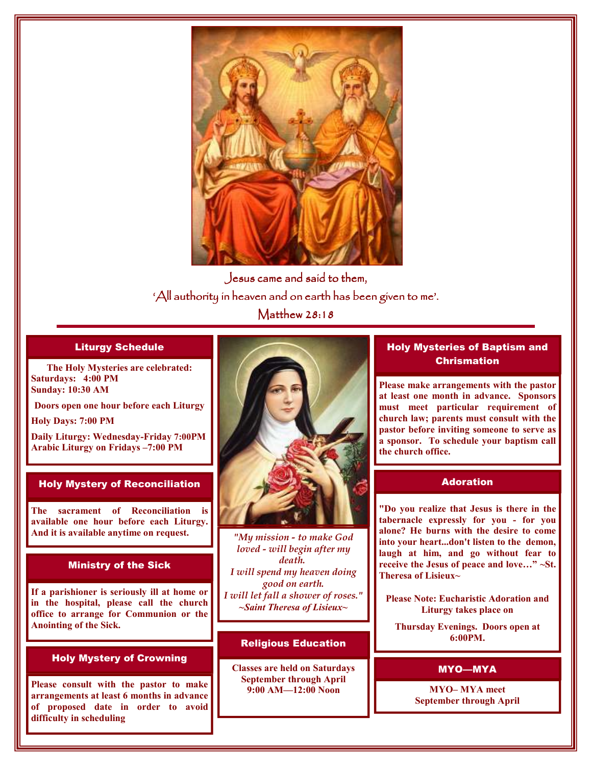

Jesus came and said to them, 'All authority in heaven and on earth has been given to me'. Matthew  $28:18$ 

#### Liturgy Schedule

**The Holy Mysteries are celebrated: Saturdays: 4:00 PM Sunday: 10:30 AM** 

**Doors open one hour before each Liturgy** 

**Holy Days: 7:00 PM** 

**Daily Liturgy: Wednesday-Friday 7:00PM Arabic Liturgy on Fridays –7:00 PM** 

#### Holy Mystery of Reconciliation

**The sacrament of Reconciliation is available one hour before each Liturgy. And it is available anytime on request.** 

#### Ministry of the Sick

**If a parishioner is seriously ill at home or in the hospital, please call the church office to arrange for Communion or the Anointing of the Sick.** 

#### Holy Mystery of Crowning

**Please consult with the pastor to make arrangements at least 6 months in advance of proposed date in order to avoid difficulty in scheduling** 



*"My mission - to make God loved - will begin after my death. I will spend my heaven doing good on earth. I will let fall a shower of roses." ~Saint Theresa of Lisieux~* 

#### Religious Education

**Classes are held on Saturdays September through April 9:00 AM—12:00 Noon** 

#### Holy Mysteries of Baptism and **Chrismation**

**Please make arrangements with the pastor at least one month in advance. Sponsors must meet particular requirement of church law; parents must consult with the pastor before inviting someone to serve as a sponsor. To schedule your baptism call the church office.** 

#### Adoration

**"Do you realize that Jesus is there in the tabernacle expressly for you - for you alone? He burns with the desire to come into your heart...don't listen to the demon, laugh at him, and go without fear to receive the Jesus of peace and love…" ~St. Theresa of Lisieux~** 

**Please Note: Eucharistic Adoration and Liturgy takes place on** 

**Thursday Evenings. Doors open at 6:00PM.** 

#### MYO—MYA

**MYO– MYA meet September through April**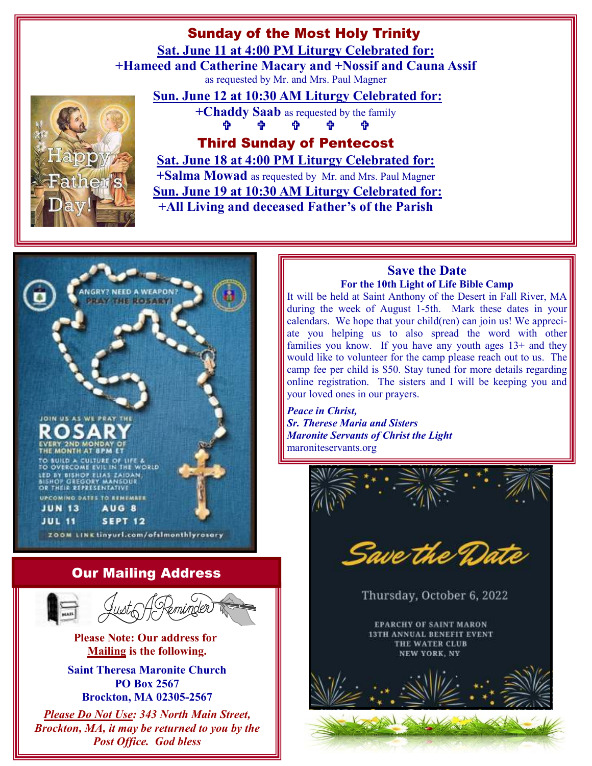## Sunday of the Most Holy Trinity

**Sat. June 11 at 4:00 PM Liturgy Celebrated for:**

**+Hameed and Catherine Macary and +Nossif and Cauna Assif**  as requested by Mr. and Mrs. Paul Magner

### **Sun. June 12 at 10:30 AM Liturgy Celebrated for:**

**+Chaddy Saab** as requested by the family - $-$  ተ - **ተ**  $\mathbf{e}^{\mathbf{e}}$  $-$  ተ  $\begin{array}{ccccccccccccc} \Phi & \Phi & \Phi & \Phi & \Phi & \end{array}$  $\mathbf{r}$ -

Third Sunday of Pentecost

**Sat. June 18 at 4:00 PM Liturgy Celebrated for:**

**+Salma Mowad** as requested by Mr. and Mrs. Paul Magner **Sun. June 19 at 10:30 AM Liturgy Celebrated for: +All Living and deceased Father's of the Parish**



**PO Box 2567 Brockton, MA 02305-2567** 

*Please Do Not Use: 343 North Main Street, Brockton, MA, it may be returned to you by the Post Office. God bless*

#### **Save the Date For the 10th Light of Life Bible Camp**

It will be held at Saint Anthony of the Desert in Fall River, MA during the week of August 1-5th. Mark these dates in your calendars. We hope that your child(ren) can join us! We appreciate you helping us to also spread the word with other families you know. If you have any youth ages 13+ and they would like to volunteer for the camp please reach out to us. The camp fee per child is \$50. Stay tuned for more details regarding online registration. The sisters and I will be keeping you and your loved ones in our prayers.

*Peace in Christ, Sr. Therese Maria and Sisters Maronite Servants of Christ the Light*  maroniteservants.org

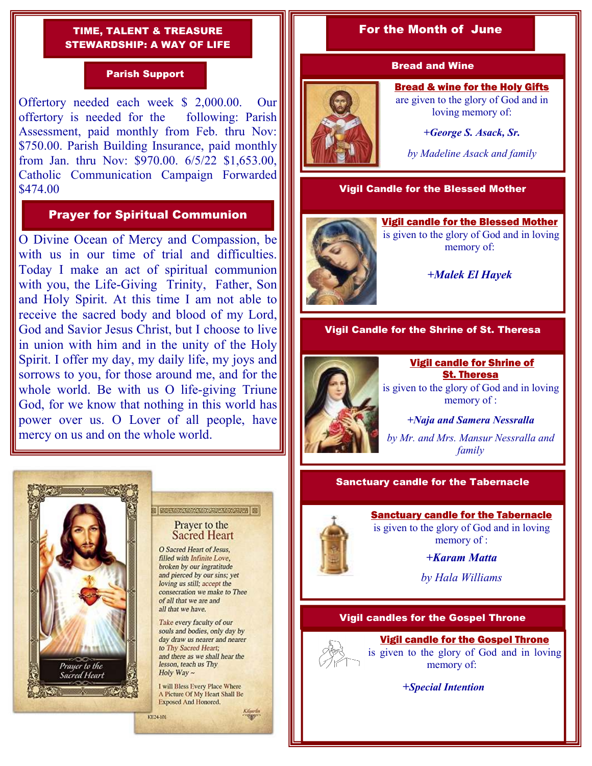#### TIME, TALENT & TREASURE STEWARDSHIP: A WAY OF LIFE

#### Parish Support

Offertory needed each week \$ 2,000.00. Our offertory is needed for the following: Parish Assessment, paid monthly from Feb. thru Nov: \$750.00. Parish Building Insurance, paid monthly from Jan. thru Nov: \$970.00. 6/5/22 \$1,653.00, Catholic Communication Campaign Forwarded \$474.00

#### Prayer for Spiritual Communion

O Divine Ocean of Mercy and Compassion, be with us in our time of trial and difficulties. Today I make an act of spiritual communion with you, the Life-Giving Trinity, Father, Son and Holy Spirit. At this time I am not able to receive the sacred body and blood of my Lord, God and Savior Jesus Christ, but I choose to live in union with him and in the unity of the Holy Spirit. I offer my day, my daily life, my joys and sorrows to you, for those around me, and for the whole world. Be with us O life-giving Triune God, for we know that nothing in this world has power over us. O Lover of all people, have mercy on us and on the whole world.



#### **E ROSE MONTON MARINE MARINE DE** Prayer to the

**Sacred Heart** 

O Sacred Heart of Jesus, filled with Infinite Love, broken by our ingratitude and pierced by our sins; yet loving us still; accept the consecration we make to Thee of all that we are and all that we have.

Take every faculty of our souls and bodies, only day by day draw us nearer and nearer to Thy Sacred Heart: and there as we shall hear the lesson, teach us Thy Holy Way  $\sim$ 

I will Bless Every Place Where A Picture Of My Heart Shall Be Exposed And Honored.

KE24-101

#### For the Month of June

#### Bread and Wine

Bread & wine for the Holy Gifts are given to the glory of God and in loving memory of:

*+George S. Asack, Sr.* 

*by Madeline Asack and family* 

#### Vigil Candle for the Blessed Mother





#### *+Malek El Hayek*

#### Vigil Candle for the Shrine of St. Theresa



 Vigil candle for Shrine of St. Theresa is given to the glory of God and in loving memory of :

*+Naja and Samera Nessralla by Mr. and Mrs. Mansur Nessralla and family*

#### Sanctuary candle for the Tabernacle

#### Sanctuary candle for the Tabernacle is given to the glory of God and in loving

memory of :

*+Karam Matta* 

*by Hala Williams*

#### Vigil candles for the Gospel Throne

### Vigil candle for the Gospel Throne



is given to the glory of God and in loving memory of:

 *+Special Intention*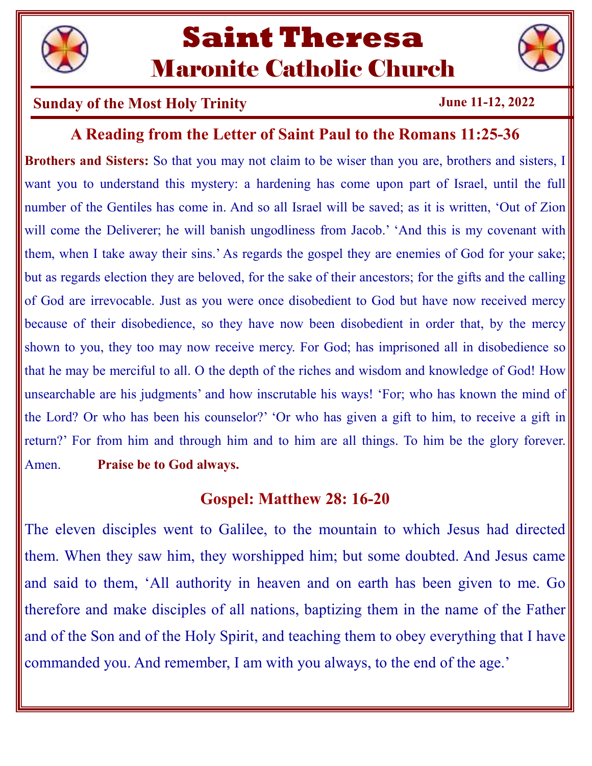

# **Saint Theresa**  Maronite Catholic Church

## **Sunday of the Most Holy Trinity June 11-12, 2022**

# **A Reading from the Letter of Saint Paul to the Romans 11:25-36**

**Brothers and Sisters:** So that you may not claim to be wiser than you are, brothers and sisters, I want you to understand this mystery: a hardening has come upon part of Israel, until the full number of the Gentiles has come in. And so all Israel will be saved; as it is written, 'Out of Zion will come the Deliverer; he will banish ungodliness from Jacob.' 'And this is my covenant with them, when I take away their sins.' As regards the gospel they are enemies of God for your sake; but as regards election they are beloved, for the sake of their ancestors; for the gifts and the calling of God are irrevocable. Just as you were once disobedient to God but have now received mercy because of their disobedience, so they have now been disobedient in order that, by the mercy shown to you, they too may now receive mercy. For God; has imprisoned all in disobedience so that he may be merciful to all. O the depth of the riches and wisdom and knowledge of God! How unsearchable are his judgments' and how inscrutable his ways! 'For; who has known the mind of the Lord? Or who has been his counselor?' 'Or who has given a gift to him, to receive a gift in return?' For from him and through him and to him are all things. To him be the glory forever. Amen. **Praise be to God always.** 

# **Gospel: Matthew 28: 16-20**

The eleven disciples went to Galilee, to the mountain to which Jesus had directed them. When they saw him, they worshipped him; but some doubted. And Jesus came and said to them, 'All authority in heaven and on earth has been given to me. Go therefore and make disciples of all nations, baptizing them in the name of the Father and of the Son and of the Holy Spirit, and teaching them to obey everything that I have commanded you. And remember, I am with you always, to the end of the age.'